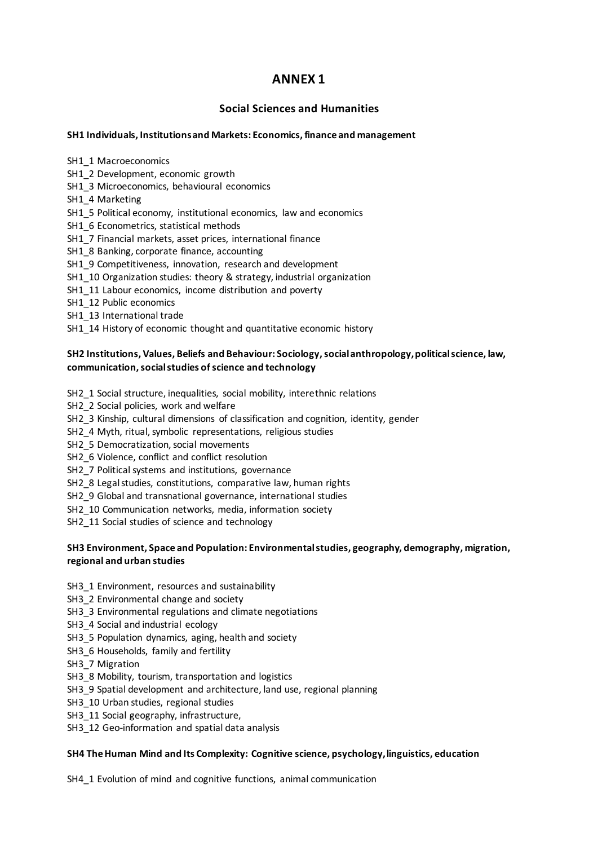# **ANNEX 1**

# **Social Sciences and Humanities**

#### **SH1 Individuals, Institutions and Markets: Economics, finance and management**

SH1\_1 Macroeconomics

SH1\_2 Development, economic growth

- SH1\_3 Microeconomics, behavioural economics
- SH1\_4 Marketing
- SH1\_5 Political economy, institutional economics, law and economics
- SH1\_6 Econometrics, statistical methods
- SH1\_7 Financial markets, asset prices, international finance
- SH1\_8 Banking, corporate finance, accounting
- SH1\_9 Competitiveness, innovation, research and development
- SH1\_10 Organization studies: theory & strategy, industrial organization
- SH1\_11 Labour economics, income distribution and poverty
- SH1\_12 Public economics
- SH1\_13 International trade
- SH1\_14 History of economic thought and quantitative economic history

## **SH2 Institutions, Values, Beliefs and Behaviour: Sociology, social anthropology, political science, law, communication, social studies of science and technology**

SH2\_1 Social structure, inequalities, social mobility, interethnic relations

SH2\_2 Social policies, work and welfare

SH2\_3 Kinship, cultural dimensions of classification and cognition, identity, gender

SH2\_4 Myth, ritual, symbolic representations, religious studies

SH2\_5 Democratization, social movements

- SH2\_6 Violence, conflict and conflict resolution
- SH2\_7 Political systems and institutions, governance
- SH2\_8 Legal studies, constitutions, comparative law, human rights
- SH2\_9 Global and transnational governance, international studies
- SH2\_10 Communication networks, media, information society

SH2\_11 Social studies of science and technology

## **SH3 Environment, Space and Population: Environmental studies, geography, demography, migration, regional and urban studies**

- SH3\_1 Environment, resources and sustainability
- SH3\_2 Environmental change and society
- SH3\_3 Environmental regulations and climate negotiations
- SH3\_4 Social and industrial ecology
- SH3\_5 Population dynamics, aging, health and society
- SH3\_6 Households, family and fertility
- SH3\_7 Migration
- SH3\_8 Mobility, tourism, transportation and logistics
- SH3\_9 Spatial development and architecture, land use, regional planning
- SH3\_10 Urban studies, regional studies
- SH3\_11 Social geography, infrastructure,
- SH3\_12 Geo-information and spatial data analysis

#### **SH4 The Human Mind and Its Complexity: Cognitive science, psychology, linguistics, education**

SH4\_1 Evolution of mind and cognitive functions, animal communication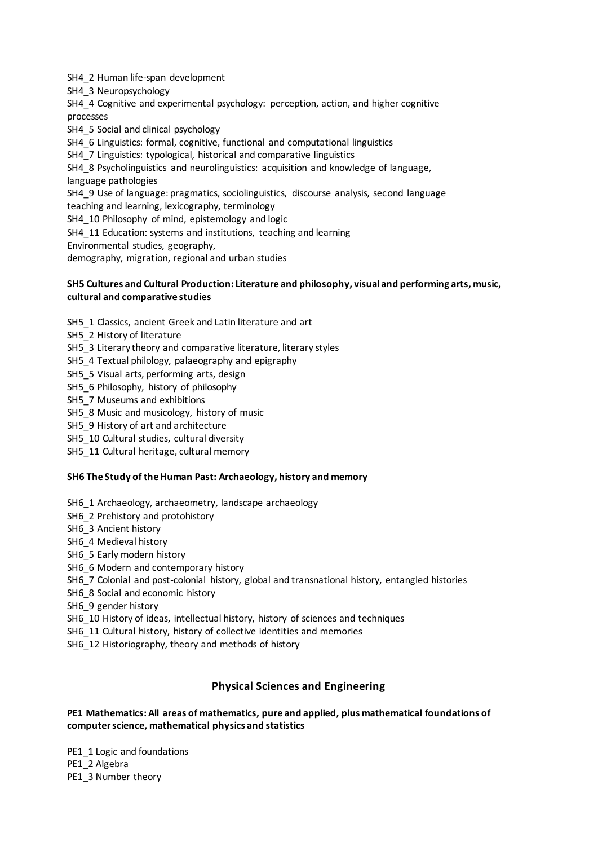SH4\_2 Human life-span development

SH4\_3 Neuropsychology

SH4\_4 Cognitive and experimental psychology: perception, action, and higher cognitive processes

SH4\_5 Social and clinical psychology

SH4\_6 Linguistics: formal, cognitive, functional and computational linguistics

SH4\_7 Linguistics: typological, historical and comparative linguistics

SH4\_8 Psycholinguistics and neurolinguistics: acquisition and knowledge of language, language pathologies

SH4\_9 Use of language: pragmatics, sociolinguistics, discourse analysis, second language teaching and learning, lexicography, terminology

SH4\_10 Philosophy of mind, epistemology and logic

SH4\_11 Education: systems and institutions, teaching and learning

Environmental studies, geography,

demography, migration, regional and urban studies

#### **SH5 Cultures and Cultural Production: Literature and philosophy, visual and performing arts, music, cultural and comparative studies**

SH5\_1 Classics, ancient Greek and Latin literature and art

- SH5\_2 History of literature
- SH5\_3 Literary theory and comparative literature, literary styles
- SH5\_4 Textual philology, palaeography and epigraphy
- SH5\_5 Visual arts, performing arts, design
- SH5\_6 Philosophy, history of philosophy
- SH5\_7 Museums and exhibitions
- SH5\_8 Music and musicology, history of music
- SH5\_9 History of art and architecture
- SH5\_10 Cultural studies, cultural diversity
- SH5\_11 Cultural heritage, cultural memory

#### **SH6 The Study of the Human Past: Archaeology, history and memory**

- SH6\_1 Archaeology, archaeometry, landscape archaeology
- SH6\_2 Prehistory and protohistory
- SH6\_3 Ancient history
- SH6\_4 Medieval history
- SH6\_5 Early modern history
- SH6\_6 Modern and contemporary history
- SH6\_7 Colonial and post-colonial history, global and transnational history, entangled histories
- SH6\_8 Social and economic history
- SH6\_9 gender history
- SH6\_10 History of ideas, intellectual history, history of sciences and techniques
- SH6\_11 Cultural history, history of collective identities and memories
- SH6\_12 Historiography, theory and methods of history

# **Physical Sciences and Engineering**

## **PE1 Mathematics: All areas of mathematics, pure and applied, plus mathematical foundations of computer science, mathematical physics and statistics**

PE1\_1 Logic and foundations PE1\_2 Algebra PE1\_3 Number theory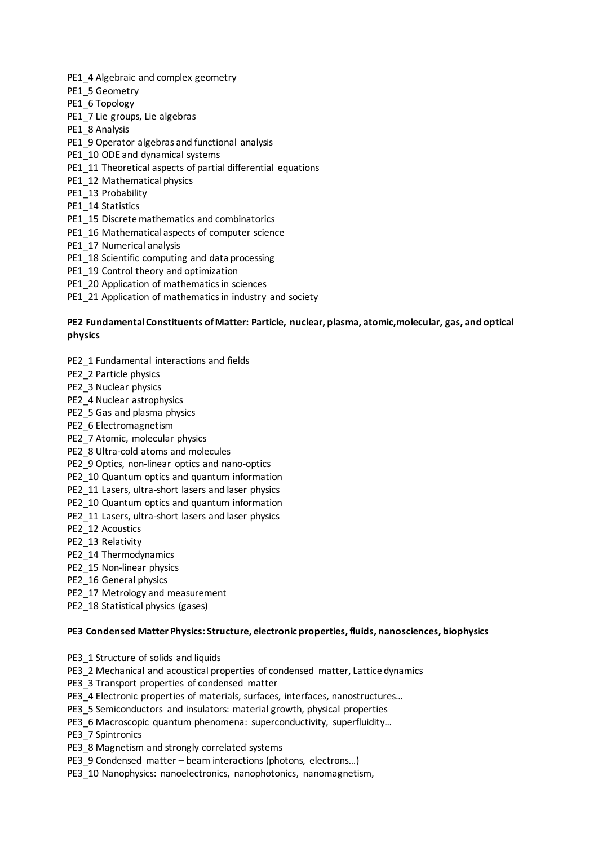PE1\_4 Algebraic and complex geometry

- PE1\_5 Geometry
- PE1\_6 Topology
- PE1\_7 Lie groups, Lie algebras
- PE1\_8 Analysis
- PE1\_9 Operator algebras and functional analysis
- PE1\_10 ODE and dynamical systems
- PE1\_11 Theoretical aspects of partial differential equations
- PE1\_12 Mathematical physics
- PE1\_13 Probability
- PE1\_14 Statistics
- PE1\_15 Discrete mathematics and combinatorics
- PE1\_16 Mathematical aspects of computer science
- PE1\_17 Numerical analysis
- PE1\_18 Scientific computing and data processing
- PE1\_19 Control theory and optimization
- PE1\_20 Application of mathematics in sciences
- PE1\_21 Application of mathematics in industry and society

## **PE2 Fundamental Constituents of Matter: Particle, nuclear, plasma, atomic,molecular, gas, and optical physics**

- PE2\_1 Fundamental interactions and fields
- PE2\_2 Particle physics
- PE2\_3 Nuclear physics
- PE2\_4 Nuclear astrophysics
- PE2\_5 Gas and plasma physics
- PE2\_6 Electromagnetism
- PE2\_7 Atomic, molecular physics
- PE2\_8 Ultra-cold atoms and molecules
- PE2\_9 Optics, non-linear optics and nano-optics
- PE2\_10 Quantum optics and quantum information
- PE2\_11 Lasers, ultra-short lasers and laser physics
- PE2\_10 Quantum optics and quantum information
- PE2\_11 Lasers, ultra-short lasers and laser physics
- PE2\_12 Acoustics
- PE2\_13 Relativity
- PE2\_14 Thermodynamics
- PE2\_15 Non-linear physics
- PE2\_16 General physics
- PE2\_17 Metrology and measurement
- PE2\_18 Statistical physics (gases)

#### **PE3 Condensed Matter Physics: Structure, electronic properties, fluids, nanosciences, biophysics**

- PE3\_1 Structure of solids and liquids
- PE3\_2 Mechanical and acoustical properties of condensed matter, Lattice dynamics
- PE3\_3 Transport properties of condensed matter
- PE3\_4 Electronic properties of materials, surfaces, interfaces, nanostructures…
- PE3\_5 Semiconductors and insulators: material growth, physical properties
- PE3\_6 Macroscopic quantum phenomena: superconductivity, superfluidity...

PE3\_7 Spintronics

- PE3\_8 Magnetism and strongly correlated systems
- PE3\_9 Condensed matter beam interactions (photons, electrons…)
- PE3\_10 Nanophysics: nanoelectronics, nanophotonics, nanomagnetism,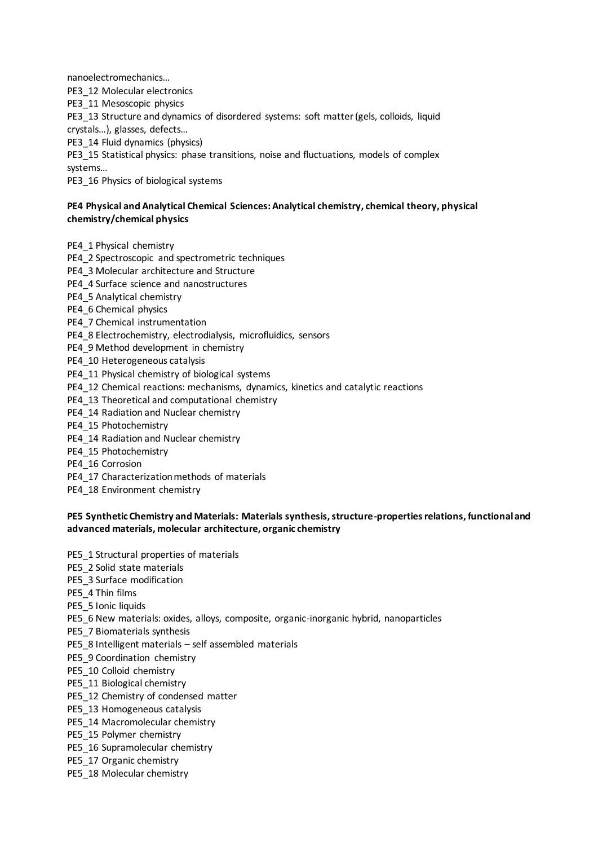nanoelectromechanics…

PE3\_12 Molecular electronics

PE3\_11 Mesoscopic physics

PE3\_13 Structure and dynamics of disordered systems: soft matter (gels, colloids, liquid crystals…), glasses, defects…

PE3\_14 Fluid dynamics (physics)

PE3\_15 Statistical physics: phase transitions, noise and fluctuations, models of complex systems…

PE3\_16 Physics of biological systems

## **PE4 Physical and Analytical Chemical Sciences: Analytical chemistry, chemical theory, physical chemistry/chemical physics**

PE4\_1 Physical chemistry

- PE4\_2 Spectroscopic\_and spectrometric techniques
- PE4\_3 Molecular architecture and Structure
- PE4\_4 Surface science and nanostructures
- PE4\_5 Analytical chemistry
- PE4\_6 Chemical physics
- PE4\_7 Chemical instrumentation
- PE4\_8 Electrochemistry, electrodialysis, microfluidics, sensors
- PE4\_9 Method development in chemistry
- PE4\_10 Heterogeneous catalysis
- PE4\_11 Physical chemistry of biological systems
- PE4\_12 Chemical reactions: mechanisms, dynamics, kinetics and catalytic reactions
- PE4\_13 Theoretical and computational chemistry
- PE4\_14 Radiation and Nuclear chemistry
- PE4\_15 Photochemistry
- PE4\_14 Radiation and Nuclear chemistry
- PE4\_15 Photochemistry
- PE4\_16 Corrosion
- PE4\_17 Characterization methods of materials
- PE4\_18 Environment chemistry

#### **PE5 Synthetic Chemistry and Materials: Materials synthesis, structure-properties relations, functional and advanced materials, molecular architecture, organic chemistry**

- PE5\_1 Structural properties of materials
- PE5\_2 Solid state materials
- PE5\_3 Surface modification
- PE5\_4 Thin films
- PE5\_5 Ionic liquids
- PE5\_6 New materials: oxides, alloys, composite, organic-inorganic hybrid, nanoparticles
- PE5\_7 Biomaterials synthesis
- PE5\_8 Intelligent materials self assembled materials
- PE5\_9 Coordination chemistry
- PE5\_10 Colloid chemistry
- PE5\_11 Biological chemistry
- PE5\_12 Chemistry of condensed matter
- PE5\_13 Homogeneous catalysis
- PE5\_14 Macromolecular chemistry
- PE5\_15 Polymer chemistry
- PE5\_16 Supramolecular chemistry
- PE5\_17 Organic chemistry
- PE5\_18 Molecular chemistry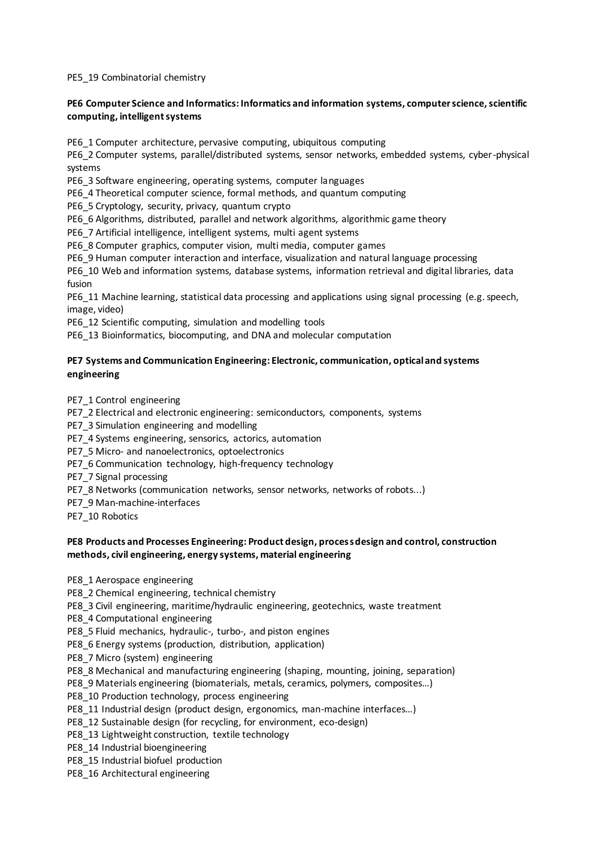PE5\_19 Combinatorial chemistry

## **PE6 Computer Science and Informatics: Informatics and information systems, computer science, scientific computing, intelligent systems**

PE6\_1 Computer architecture, pervasive computing, ubiquitous computing

PE6\_2 Computer systems, parallel/distributed systems, sensor networks, embedded systems, cyber-physical systems

PE6\_3 Software engineering, operating systems, computer languages

PE6\_4 Theoretical computer science, formal methods, and quantum computing

PE6\_5 Cryptology, security, privacy, quantum crypto

PE6\_6 Algorithms, distributed, parallel and network algorithms, algorithmic game theory

PE6\_7 Artificial intelligence, intelligent systems, multi agent systems

PE6\_8 Computer graphics, computer vision, multi media, computer games

PE6\_9 Human computer interaction and interface, visualization and natural language processing

PE6\_10 Web and information systems, database systems, information retrieval and digital libraries, data fusion

PE6\_11 Machine learning, statistical data processing and applications using signal processing (e.g. speech, image, video)

PE6\_12 Scientific computing, simulation and modelling tools

PE6\_13 Bioinformatics, biocomputing, and DNA and molecular computation

## **PE7 Systems and Communication Engineering: Electronic, communication, optical and systems engineering**

PE7\_1 Control engineering

PE7\_2 Electrical and electronic engineering: semiconductors, components, systems

PE7\_3 Simulation engineering and modelling

PE7\_4 Systems engineering, sensorics, actorics, automation

PE7\_5 Micro- and nanoelectronics, optoelectronics

PE7\_6 Communication technology, high-frequency technology

PE7\_7 Signal processing

PE7\_8 Networks (communication networks, sensor networks, networks of robots...)

PE7\_9 Man-machine-interfaces

PE7\_10 Robotics

#### **PE8 Products and Processes Engineering: Product design, process design and control, construction methods, civil engineering, energy systems, material engineering**

PE8\_1 Aerospace engineering

PE8\_2 Chemical engineering, technical chemistry

PE8\_3 Civil engineering, maritime/hydraulic engineering, geotechnics, waste treatment

PE8\_4 Computational engineering

PE8\_5 Fluid mechanics, hydraulic-, turbo-, and piston engines

PE8\_6 Energy systems (production, distribution, application)

PE8\_7 Micro (system) engineering

PE8\_8 Mechanical and manufacturing engineering (shaping, mounting, joining, separation)

PE8\_9 Materials engineering (biomaterials, metals, ceramics, polymers, composites…)

PE8\_10 Production technology, process engineering

- PE8\_11 Industrial design (product design, ergonomics, man-machine interfaces…)
- PE8\_12 Sustainable design (for recycling, for environment, eco-design)
- PE8\_13 Lightweight construction, textile technology
- PE8\_14 Industrial bioengineering

PE8\_15 Industrial biofuel production

PE8\_16 Architectural engineering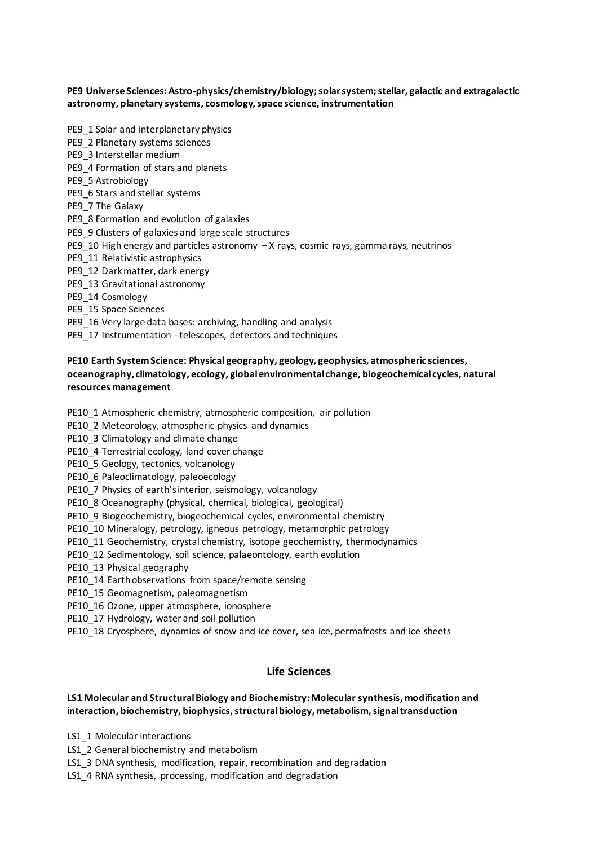#### **PE9 Universe Sciences: Astro-physics/chemistry/biology; solar system; stellar, galactic and extragalactic astronomy, planetary systems, cosmology, space science, instrumentation**

- PE9\_1 Solar and interplanetary physics
- PE9\_2 Planetary systems sciences
- PE9\_3 Interstellar medium
- PE9\_4 Formation of stars and planets
- PE9\_5 Astrobiology
- PE9\_6 Stars and stellar systems
- PE9\_7 The Galaxy
- PE9\_8 Formation and evolution of galaxies
- PE9\_9 Clusters of galaxies and large scale structures
- PE9\_10 High energy and particles astronomy X-rays, cosmic rays, gamma rays, neutrinos
- PE9\_11 Relativistic astrophysics
- PE9\_12 Dark matter, dark energy
- PE9\_13 Gravitational astronomy
- PE9\_14 Cosmology
- PE9\_15 Space Sciences
- PE9\_16 Very large data bases: archiving, handling and analysis
- PE9\_17 Instrumentation telescopes, detectors and techniques

## **PE10 Earth System Science: Physical geography, geology, geophysics, atmospheric sciences, oceanography, climatology, ecology, global environmental change, biogeochemical cycles, natural resources management**

- PE10\_1 Atmospheric chemistry, atmospheric composition, air pollution
- PE10\_2 Meteorology, atmospheric physics and dynamics
- PE10\_3 Climatology and climate change
- PE10\_4 Terrestrial ecology, land cover change
- PE10\_5 Geology, tectonics, volcanology
- PE10\_6 Paleoclimatology, paleoecology
- PE10\_7 Physics of earth's interior, seismology, volcanology
- PE10\_8 Oceanography (physical, chemical, biological, geological)
- PE10\_9 Biogeochemistry, biogeochemical cycles, environmental chemistry
- PE10\_10 Mineralogy, petrology, igneous petrology, metamorphic petrology
- PE10\_11 Geochemistry, crystal chemistry, isotope geochemistry, thermodynamics
- PE10\_12 Sedimentology, soil science, palaeontology, earth evolution
- PE10\_13 Physical geography
- PE10\_14 Earth observations from space/remote sensing
- PE10\_15 Geomagnetism, paleomagnetism
- PE10 16 Ozone, upper atmosphere, ionosphere
- PE10\_17 Hydrology, water and soil pollution
- PE10\_18 Cryosphere, dynamics of snow and ice cover, sea ice, permafrosts and ice sheets

#### **Life Sciences**

#### **LS1 Molecular and Structural Biology and Biochemistry: Molecular synthesis, modification and interaction, biochemistry, biophysics, structural biology, metabolism, signal transduction**

- LS1\_1 Molecular interactions
- LS1\_2 General biochemistry and metabolism
- LS1\_3 DNA synthesis, modification, repair, recombination and degradation
- LS1\_4 RNA synthesis, processing, modification and degradation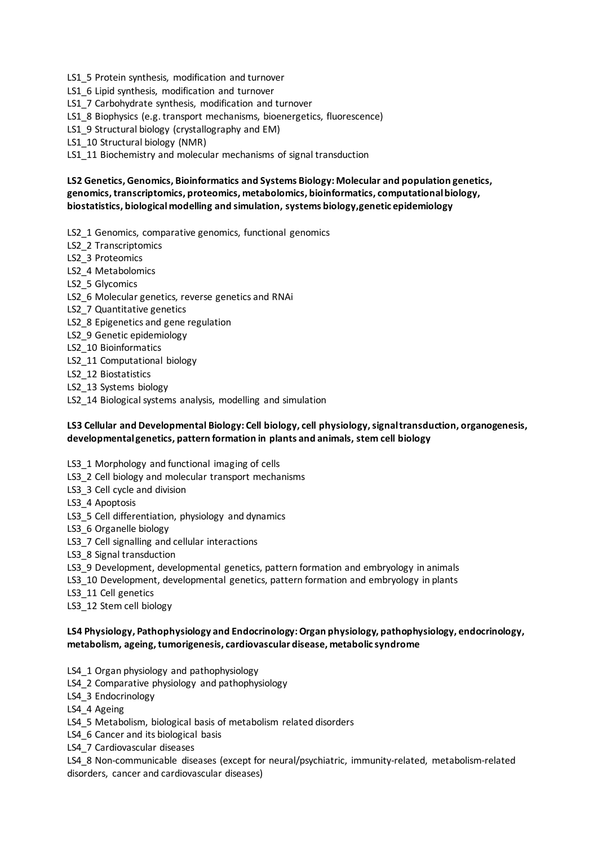- LS1\_5 Protein synthesis, modification and turnover
- LS1\_6 Lipid synthesis, modification and turnover
- LS1\_7 Carbohydrate synthesis, modification and turnover
- LS1\_8 Biophysics (e.g. transport mechanisms, bioenergetics, fluorescence)
- LS1\_9 Structural biology (crystallography and EM)
- LS1\_10 Structural biology (NMR)

LS1 11 Biochemistry and molecular mechanisms of signal transduction

## **LS2 Genetics, Genomics, Bioinformatics and Systems Biology: Molecular and population genetics, genomics, transcriptomics, proteomics, metabolomics, bioinformatics, computational biology, biostatistics, biological modelling and simulation, systems biology,genetic epidemiology**

- LS2\_1 Genomics, comparative genomics, functional genomics
- LS2\_2 Transcriptomics
- LS2\_3 Proteomics
- LS2 4 Metabolomics
- LS2\_5 Glycomics
- LS2\_6 Molecular genetics, reverse genetics and RNAi
- LS2 7 Quantitative genetics
- LS2 8 Epigenetics and gene regulation
- LS2\_9 Genetic epidemiology
- LS2\_10 Bioinformatics
- LS2\_11 Computational biology
- LS2\_12 Biostatistics
- LS2\_13 Systems biology
- LS2 14 Biological systems analysis, modelling and simulation

## **LS3 Cellular and Developmental Biology: Cell biology, cell physiology, signal transduction, organogenesis, developmental genetics, pattern formation in plants and animals, stem cell biology**

- LS3\_1 Morphology and functional imaging of cells
- LS3\_2 Cell biology and molecular transport mechanisms
- LS3 3 Cell cycle and division
- LS3\_4 Apoptosis
- LS3\_5 Cell differentiation, physiology and dynamics
- LS3\_6 Organelle biology
- LS3\_7 Cell signalling and cellular interactions
- LS3\_8 Signal transduction
- LS3\_9 Development, developmental genetics, pattern formation and embryology in animals
- LS3 10 Development, developmental genetics, pattern formation and embryology in plants
- LS3\_11 Cell genetics
- LS3\_12 Stem cell biology

#### **LS4 Physiology, Pathophysiology and Endocrinology: Organ physiology, pathophysiology, endocrinology, metabolism, ageing, tumorigenesis, cardiovascular disease, metabolic syndrome**

- LS4\_1 Organ physiology and pathophysiology
- LS4\_2 Comparative physiology and pathophysiology
- LS4\_3 Endocrinology
- LS4 4 Ageing
- LS4\_5 Metabolism, biological basis of metabolism related disorders
- LS4 6 Cancer and its biological basis
- LS4\_7 Cardiovascular diseases
- LS4\_8 Non-communicable diseases (except for neural/psychiatric, immunity-related, metabolism-related disorders, cancer and cardiovascular diseases)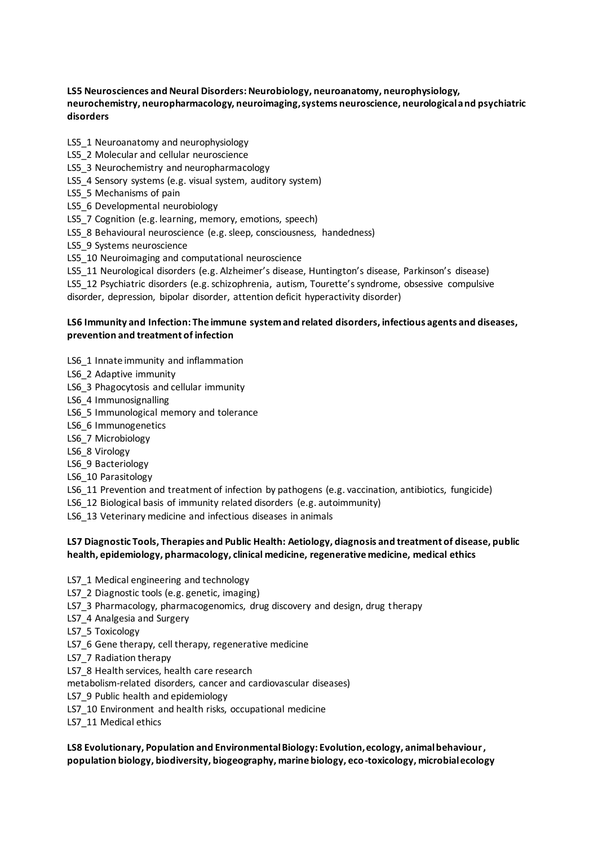## **LS5 Neurosciences and Neural Disorders: Neurobiology, neuroanatomy, neurophysiology, neurochemistry, neuropharmacology, neuroimaging, systems neuroscience, neurological and psychiatric disorders**

- LS5\_1 Neuroanatomy and neurophysiology
- LS5\_2 Molecular and cellular neuroscience
- LS5\_3 Neurochemistry and neuropharmacology
- LS5\_4 Sensory systems (e.g. visual system, auditory system)
- LS5 5 Mechanisms of pain
- LS5 6 Developmental neurobiology
- LS5 7 Cognition (e.g. learning, memory, emotions, speech)
- LS5\_8 Behavioural neuroscience (e.g. sleep, consciousness, handedness)
- LS5\_9 Systems neuroscience
- LS5 10 Neuroimaging and computational neuroscience
- LS5\_11 Neurological disorders (e.g. Alzheimer's disease, Huntington's disease, Parkinson's disease)

LS5\_12 Psychiatric disorders (e.g. schizophrenia, autism, Tourette's syndrome, obsessive compulsive disorder, depression, bipolar disorder, attention deficit hyperactivity disorder)

#### **LS6 Immunity and Infection: The immune system and related disorders, infectious agents and diseases, prevention and treatment of infection**

- LS6 1 Innate immunity and inflammation
- LS6\_2 Adaptive immunity
- LS6\_3 Phagocytosis and cellular immunity
- LS6\_4 Immunosignalling
- LS6 5 Immunological memory and tolerance
- LS6\_6 Immunogenetics
- LS6\_7 Microbiology
- LS6\_8 Virology
- LS6\_9 Bacteriology
- LS6\_10 Parasitology
- LS6 11 Prevention and treatment of infection by pathogens (e.g. vaccination, antibiotics, fungicide)
- LS6\_12 Biological basis of immunity related disorders (e.g. autoimmunity)
- LS6 13 Veterinary medicine and infectious diseases in animals

## **LS7 Diagnostic Tools, Therapies and Public Health: Aetiology, diagnosis and treatment of disease, public health, epidemiology, pharmacology, clinical medicine, regenerative medicine, medical ethics**

- LS7\_1 Medical engineering and technology
- LS7\_2 Diagnostic tools (e.g. genetic, imaging)
- LS7\_3 Pharmacology, pharmacogenomics, drug discovery and design, drug therapy
- LS7\_4 Analgesia and Surgery
- LS7\_5 Toxicology
- LS7\_6 Gene therapy, cell therapy, regenerative medicine
- LS7\_7 Radiation therapy
- LS7 8 Health services, health care research
- metabolism-related disorders, cancer and cardiovascular diseases)
- LS7 9 Public health and epidemiology
- LS7\_10 Environment and health risks, occupational medicine
- LS7\_11 Medical ethics

# **LS8 Evolutionary, Population and Environmental Biology: Evolution, ecology, animal behaviour, population biology, biodiversity, biogeography, marine biology, eco-toxicology, microbial ecology**